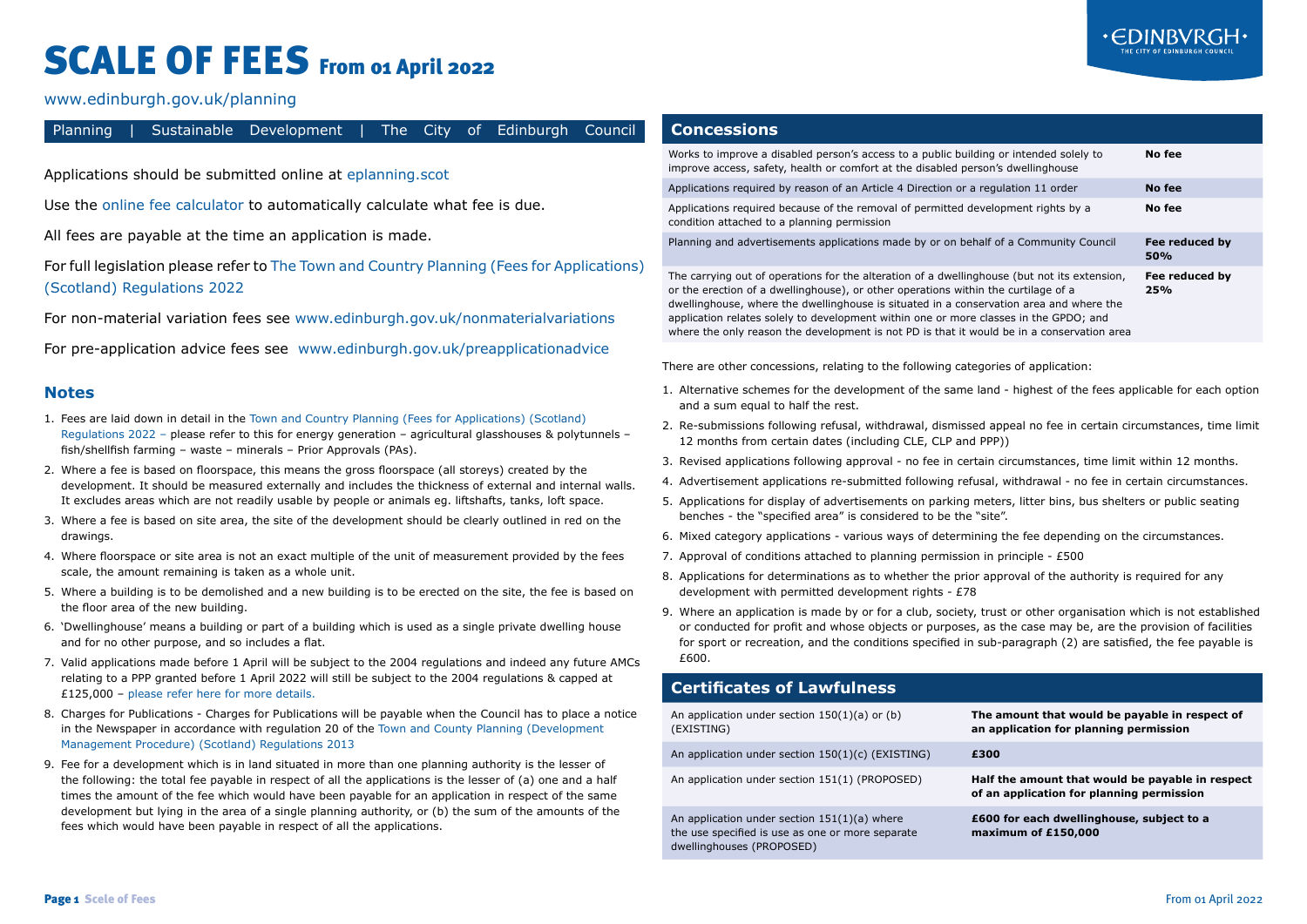## SCALE OF FEES From 01 April 2022



[www.edinburgh.gov.uk/planning](https://www.edinburgh.gov.uk/planning)

I

| Planning     |                                                                                                                                                                                                                                                                                                                                                                                                                                                                                     | Sustainable Development                                                                                                                                                                                                                                                                                                                                                                         | The l                                                                                                                                                                            | City<br>of. |  | Edinburgh Council |                                                                                                                                                                                                                                                                                                                                                                                                                                                                                               | <b>Concessions</b>                                                                                                                                                                                                                                                                                                                                     |  |                                                                                          |        |  |  |  |
|--------------|-------------------------------------------------------------------------------------------------------------------------------------------------------------------------------------------------------------------------------------------------------------------------------------------------------------------------------------------------------------------------------------------------------------------------------------------------------------------------------------|-------------------------------------------------------------------------------------------------------------------------------------------------------------------------------------------------------------------------------------------------------------------------------------------------------------------------------------------------------------------------------------------------|----------------------------------------------------------------------------------------------------------------------------------------------------------------------------------|-------------|--|-------------------|-----------------------------------------------------------------------------------------------------------------------------------------------------------------------------------------------------------------------------------------------------------------------------------------------------------------------------------------------------------------------------------------------------------------------------------------------------------------------------------------------|--------------------------------------------------------------------------------------------------------------------------------------------------------------------------------------------------------------------------------------------------------------------------------------------------------------------------------------------------------|--|------------------------------------------------------------------------------------------|--------|--|--|--|
|              |                                                                                                                                                                                                                                                                                                                                                                                                                                                                                     | Applications should be submitted online at eplanning.scot                                                                                                                                                                                                                                                                                                                                       |                                                                                                                                                                                  |             |  |                   |                                                                                                                                                                                                                                                                                                                                                                                                                                                                                               | improve access, safety, health or comfort at the disabled person's dwellinghouse                                                                                                                                                                                                                                                                       |  | Works to improve a disabled person's access to a public building or intended solely to   | No fee |  |  |  |
|              |                                                                                                                                                                                                                                                                                                                                                                                                                                                                                     |                                                                                                                                                                                                                                                                                                                                                                                                 |                                                                                                                                                                                  |             |  |                   |                                                                                                                                                                                                                                                                                                                                                                                                                                                                                               | Applications required by reason of an Article 4 Direction or a regulation 11 order<br>No fee                                                                                                                                                                                                                                                           |  |                                                                                          |        |  |  |  |
|              |                                                                                                                                                                                                                                                                                                                                                                                                                                                                                     | Use the online fee calculator to automatically calculate what fee is due.                                                                                                                                                                                                                                                                                                                       |                                                                                                                                                                                  |             |  |                   |                                                                                                                                                                                                                                                                                                                                                                                                                                                                                               | Applications required because of the removal of permitted development rights by a<br>No fee<br>condition attached to a planning permission                                                                                                                                                                                                             |  |                                                                                          |        |  |  |  |
|              |                                                                                                                                                                                                                                                                                                                                                                                                                                                                                     | All fees are payable at the time an application is made.                                                                                                                                                                                                                                                                                                                                        |                                                                                                                                                                                  |             |  |                   | Planning and advertisements applications made by or on behalf of a Community Council<br>Fee reduced by<br>50%                                                                                                                                                                                                                                                                                                                                                                                 |                                                                                                                                                                                                                                                                                                                                                        |  |                                                                                          |        |  |  |  |
|              | (Scotland) Regulations 2022                                                                                                                                                                                                                                                                                                                                                                                                                                                         | For full legislation please refer to The Town and Country Planning (Fees for Applications)<br>For non-material variation fees see www.edinburgh.gov.uk/nonmaterialvariations                                                                                                                                                                                                                    |                                                                                                                                                                                  |             |  |                   | The carrying out of operations for the alteration of a dwellinghouse (but not its extension,<br>Fee reduced by<br>or the erection of a dwellinghouse), or other operations within the curtilage of a<br>25%<br>dwellinghouse, where the dwellinghouse is situated in a conservation area and where the<br>application relates solely to development within one or more classes in the GPDO; and<br>where the only reason the development is not PD is that it would be in a conservation area |                                                                                                                                                                                                                                                                                                                                                        |  |                                                                                          |        |  |  |  |
|              |                                                                                                                                                                                                                                                                                                                                                                                                                                                                                     | For pre-application advice fees see www.edinburgh.gov.uk/preapplicationadvice                                                                                                                                                                                                                                                                                                                   |                                                                                                                                                                                  |             |  |                   | There are other concessions, relating to the following categories of application:                                                                                                                                                                                                                                                                                                                                                                                                             |                                                                                                                                                                                                                                                                                                                                                        |  |                                                                                          |        |  |  |  |
| <b>Notes</b> |                                                                                                                                                                                                                                                                                                                                                                                                                                                                                     |                                                                                                                                                                                                                                                                                                                                                                                                 |                                                                                                                                                                                  |             |  |                   |                                                                                                                                                                                                                                                                                                                                                                                                                                                                                               | 1. Alternative schemes for the development of the same land - highest of the fees applicable for each option<br>and a sum equal to half the rest.                                                                                                                                                                                                      |  |                                                                                          |        |  |  |  |
|              |                                                                                                                                                                                                                                                                                                                                                                                                                                                                                     | 1. Fees are laid down in detail in the Town and Country Planning (Fees for Applications) (Scotland)<br>Regulations 2022 - please refer to this for energy generation - agricultural glasshouses & polytunnels -                                                                                                                                                                                 |                                                                                                                                                                                  |             |  |                   |                                                                                                                                                                                                                                                                                                                                                                                                                                                                                               | 2. Re-submissions following refusal, withdrawal, dismissed appeal no fee in certain circumstances, time limit<br>12 months from certain dates (including CLE, CLP and PPP))                                                                                                                                                                            |  |                                                                                          |        |  |  |  |
|              |                                                                                                                                                                                                                                                                                                                                                                                                                                                                                     | fish/shellfish farming - waste - minerals - Prior Approvals (PAs).<br>2. Where a fee is based on floorspace, this means the gross floorspace (all storeys) created by the<br>development. It should be measured externally and includes the thickness of external and internal walls.<br>It excludes areas which are not readily usable by people or animals eq. liftshafts, tanks, loft space. |                                                                                                                                                                                  |             |  |                   |                                                                                                                                                                                                                                                                                                                                                                                                                                                                                               | 3. Revised applications following approval - no fee in certain circumstances, time limit within 12 months.<br>4. Advertisement applications re-submitted following refusal, withdrawal - no fee in certain circumstances.<br>5. Applications for display of advertisements on parking meters, litter bins, bus shelters or public seating              |  |                                                                                          |        |  |  |  |
| drawings.    |                                                                                                                                                                                                                                                                                                                                                                                                                                                                                     | 3. Where a fee is based on site area, the site of the development should be clearly outlined in red on the                                                                                                                                                                                                                                                                                      |                                                                                                                                                                                  |             |  |                   |                                                                                                                                                                                                                                                                                                                                                                                                                                                                                               | benches - the "specified area" is considered to be the "site".<br>6. Mixed category applications - various ways of determining the fee depending on the circumstances.                                                                                                                                                                                 |  |                                                                                          |        |  |  |  |
|              |                                                                                                                                                                                                                                                                                                                                                                                                                                                                                     | 4. Where floorspace or site area is not an exact multiple of the unit of measurement provided by the fees                                                                                                                                                                                                                                                                                       |                                                                                                                                                                                  |             |  |                   |                                                                                                                                                                                                                                                                                                                                                                                                                                                                                               | 7. Approval of conditions attached to planning permission in principle - £500                                                                                                                                                                                                                                                                          |  |                                                                                          |        |  |  |  |
|              |                                                                                                                                                                                                                                                                                                                                                                                                                                                                                     | scale, the amount remaining is taken as a whole unit.<br>5. Where a building is to be demolished and a new building is to be erected on the site, the fee is based on                                                                                                                                                                                                                           |                                                                                                                                                                                  |             |  |                   |                                                                                                                                                                                                                                                                                                                                                                                                                                                                                               | 8. Applications for determinations as to whether the prior approval of the authority is required for any<br>development with permitted development rights - £78                                                                                                                                                                                        |  |                                                                                          |        |  |  |  |
|              | the floor area of the new building.<br>6. 'Dwellinghouse' means a building or part of a building which is used as a single private dwelling house<br>and for no other purpose, and so includes a flat.<br>7. Valid applications made before 1 April will be subject to the 2004 regulations and indeed any future AMCs<br>relating to a PPP granted before 1 April 2022 will still be subject to the 2004 regulations & capped at<br>£125,000 - please refer here for more details. |                                                                                                                                                                                                                                                                                                                                                                                                 |                                                                                                                                                                                  |             |  |                   |                                                                                                                                                                                                                                                                                                                                                                                                                                                                                               | 9. Where an application is made by or for a club, society, trust or other organisation which is not established<br>or conducted for profit and whose objects or purposes, as the case may be, are the provision of facilities<br>for sport or recreation, and the conditions specified in sub-paragraph (2) are satisfied, the fee payable is<br>£600. |  |                                                                                          |        |  |  |  |
|              |                                                                                                                                                                                                                                                                                                                                                                                                                                                                                     |                                                                                                                                                                                                                                                                                                                                                                                                 |                                                                                                                                                                                  |             |  |                   |                                                                                                                                                                                                                                                                                                                                                                                                                                                                                               | <b>Certificates of Lawfulness</b>                                                                                                                                                                                                                                                                                                                      |  |                                                                                          |        |  |  |  |
|              |                                                                                                                                                                                                                                                                                                                                                                                                                                                                                     | 8. Charges for Publications - Charges for Publications will be payable when the Council has to place a notice<br>in the Newspaper in accordance with regulation 20 of the Town and County Planning (Development<br>Management Procedure) (Scotland) Regulations 2013                                                                                                                            |                                                                                                                                                                                  |             |  |                   | (EXISTING)                                                                                                                                                                                                                                                                                                                                                                                                                                                                                    | An application under section $150(1)(a)$ or (b)                                                                                                                                                                                                                                                                                                        |  | The amount that would be payable in respect of<br>an application for planning permission |        |  |  |  |
|              |                                                                                                                                                                                                                                                                                                                                                                                                                                                                                     |                                                                                                                                                                                                                                                                                                                                                                                                 |                                                                                                                                                                                  |             |  |                   |                                                                                                                                                                                                                                                                                                                                                                                                                                                                                               | An application under section 150(1)(c) (EXISTING)                                                                                                                                                                                                                                                                                                      |  | £300                                                                                     |        |  |  |  |
|              | 9. Fee for a development which is in land situated in more than one planning authority is the lesser of<br>the following: the total fee payable in respect of all the applications is the lesser of (a) one and a half<br>times the amount of the fee which would have been payable for an application in respect of the same                                                                                                                                                       |                                                                                                                                                                                                                                                                                                                                                                                                 |                                                                                                                                                                                  |             |  |                   |                                                                                                                                                                                                                                                                                                                                                                                                                                                                                               | An application under section 151(1) (PROPOSED)<br>Half the amount that would be payable in respect<br>of an application for planning permission                                                                                                                                                                                                        |  |                                                                                          |        |  |  |  |
|              |                                                                                                                                                                                                                                                                                                                                                                                                                                                                                     |                                                                                                                                                                                                                                                                                                                                                                                                 | development but lying in the area of a single planning authority, or (b) the sum of the amounts of the<br>fees which would have been payable in respect of all the applications. |             |  |                   |                                                                                                                                                                                                                                                                                                                                                                                                                                                                                               | An application under section 151(1)(a) where<br>£600 for each dwellinghouse, subject to a<br>the use specified is use as one or more separate<br>maximum of £150,000<br>dwellinghouses (PROPOSED)                                                                                                                                                      |  |                                                                                          |        |  |  |  |
|              |                                                                                                                                                                                                                                                                                                                                                                                                                                                                                     |                                                                                                                                                                                                                                                                                                                                                                                                 |                                                                                                                                                                                  |             |  |                   |                                                                                                                                                                                                                                                                                                                                                                                                                                                                                               |                                                                                                                                                                                                                                                                                                                                                        |  |                                                                                          |        |  |  |  |